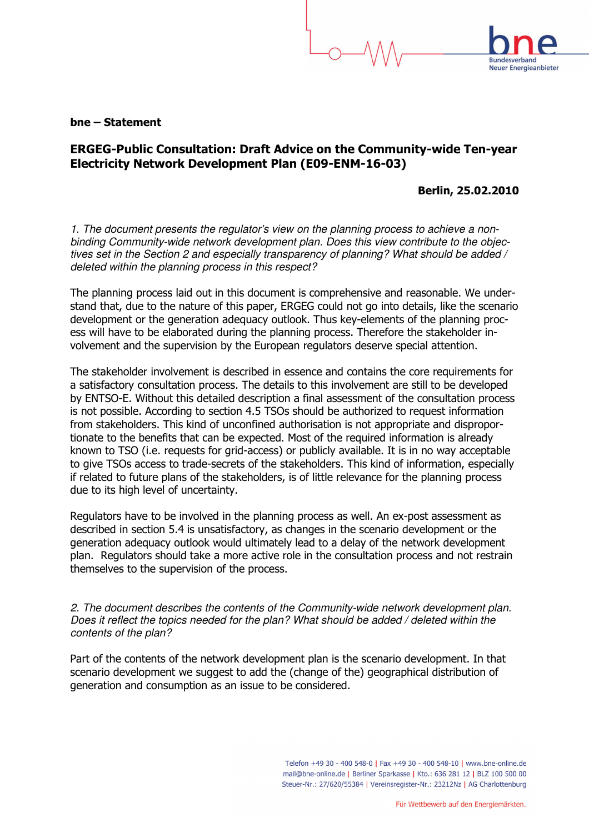## bne – Statement

## ERGEG-Public Consultation: Draft Advice on the Community-wide Ten-year Electricity Network Development Plan (E09-ENM-16-03)

Berlin, 25.02.2010

**Neuer Energieanbieter** 

1. The document presents the regulator's view on the planning process to achieve a nonbinding Community-wide network development plan. Does this view contribute to the objectives set in the Section 2 and especially transparency of planning? What should be added / deleted within the planning process in this respect?

The planning process laid out in this document is comprehensive and reasonable. We understand that, due to the nature of this paper, ERGEG could not go into details, like the scenario development or the generation adequacy outlook. Thus key-elements of the planning process will have to be elaborated during the planning process. Therefore the stakeholder involvement and the supervision by the European regulators deserve special attention.

The stakeholder involvement is described in essence and contains the core requirements for a satisfactory consultation process. The details to this involvement are still to be developed by ENTSO-E. Without this detailed description a final assessment of the consultation process is not possible. According to section 4.5 TSOs should be authorized to request information from stakeholders. This kind of unconfined authorisation is not appropriate and disproportionate to the benefits that can be expected. Most of the required information is already known to TSO (i.e. requests for grid-access) or publicly available. It is in no way acceptable to give TSOs access to trade-secrets of the stakeholders. This kind of information, especially if related to future plans of the stakeholders, is of little relevance for the planning process due to its high level of uncertainty.

Regulators have to be involved in the planning process as well. An ex-post assessment as described in section 5.4 is unsatisfactory, as changes in the scenario development or the generation adequacy outlook would ultimately lead to a delay of the network development plan. Regulators should take a more active role in the consultation process and not restrain themselves to the supervision of the process.

2. The document describes the contents of the Community-wide network development plan. Does it reflect the topics needed for the plan? What should be added / deleted within the contents of the plan?

Part of the contents of the network development plan is the scenario development. In that scenario development we suggest to add the (change of the) geographical distribution of generation and consumption as an issue to be considered.

> Telefon +49 30 - 400 548-0 | Fax +49 30 - 400 548-10 | www.bne-online.de mail@bne-online.de | Berliner Sparkasse | Kto.: 636 281 12 | BLZ 100 500 00 Steuer-Nr.: 27/620/55384 | Vereinsregister-Nr.: 23212Nz | AG Charlottenburg